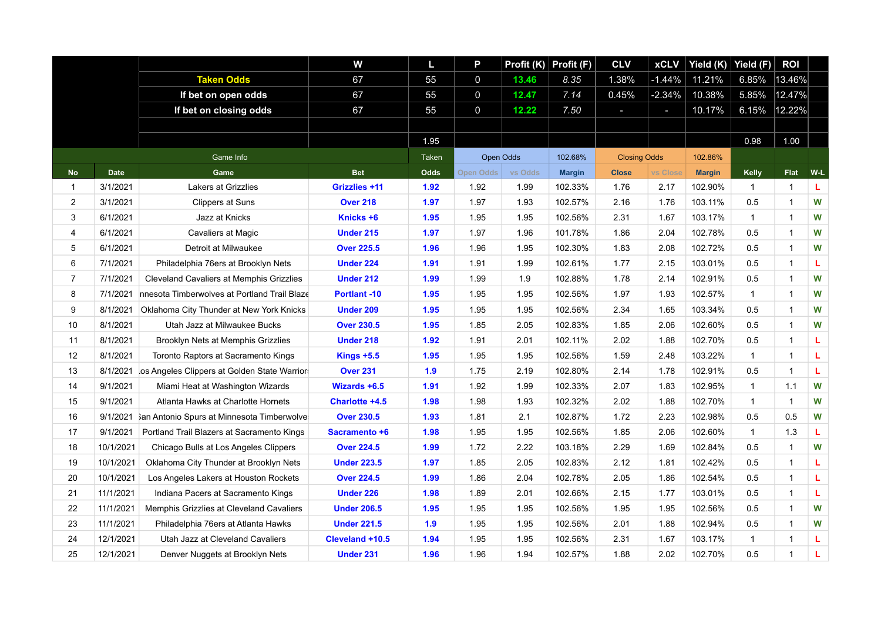|                |             |                                                     | W                   | L,           | P           |         | Profit $(K)$ Profit $(F)$ | <b>CLV</b>          | <b>xCLV</b> | Yield (K)     | Yield (F)    | <b>ROI</b>   |     |
|----------------|-------------|-----------------------------------------------------|---------------------|--------------|-------------|---------|---------------------------|---------------------|-------------|---------------|--------------|--------------|-----|
|                |             | <b>Taken Odds</b>                                   | 67                  | 55           | 0           | 13.46   | 8.35                      | 1.38%               | $-1.44%$    | 11.21%        | 6.85%        | 13.46%       |     |
|                |             | If bet on open odds                                 | 67                  | 55           | $\mathbf 0$ | 12.47   | 7.14                      | 0.45%               | $-2.34%$    | 10.38%        | 5.85%        | 12.47%       |     |
|                |             | If bet on closing odds                              | 67                  | 55           | $\mathbf 0$ | 12.22   | 7.50                      | ı                   | н           | 10.17%        | 6.15%        | 12.22%       |     |
|                |             |                                                     |                     |              |             |         |                           |                     |             |               |              |              |     |
|                |             |                                                     |                     | 1.95         |             |         |                           |                     |             |               | 0.98         | 1.00         |     |
|                |             | Game Info                                           |                     | <b>Taken</b> | Open Odds   |         | 102.68%                   | <b>Closing Odds</b> |             | 102.86%       |              |              |     |
| <b>No</b>      | <b>Date</b> | Game                                                | <b>Bet</b>          | Odds         | Open Odds   | vs Odds | <b>Margin</b>             | <b>Close</b>        | vs Close    | <b>Margin</b> | <b>Kelly</b> | <b>Flat</b>  | W-L |
| $\mathbf{1}$   | 3/1/2021    | Lakers at Grizzlies                                 | Grizzlies +11       | 1.92         | 1.92        | 1.99    | 102.33%                   | 1.76                | 2.17        | 102.90%       | $\mathbf{1}$ | 1            | г   |
| $\overline{2}$ | 3/1/2021    | <b>Clippers at Suns</b>                             | <b>Over 218</b>     | 1.97         | 1.97        | 1.93    | 102.57%                   | 2.16                | 1.76        | 103.11%       | 0.5          | 1            | W   |
| 3              | 6/1/2021    | Jazz at Knicks                                      | Knicks +6           | 1.95         | 1.95        | 1.95    | 102.56%                   | 2.31                | 1.67        | 103.17%       | $\mathbf{1}$ | 1            | W   |
| $\overline{4}$ | 6/1/2021    | Cavaliers at Magic                                  | <b>Under 215</b>    | 1.97         | 1.97        | 1.96    | 101.78%                   | 1.86                | 2.04        | 102.78%       | 0.5          | 1            | W   |
| 5              | 6/1/2021    | Detroit at Milwaukee                                | <b>Over 225.5</b>   | 1.96         | 1.96        | 1.95    | 102.30%                   | 1.83                | 2.08        | 102.72%       | 0.5          | 1            | W   |
| 6              | 7/1/2021    | Philadelphia 76ers at Brooklyn Nets                 | <b>Under 224</b>    | 1.91         | 1.91        | 1.99    | 102.61%                   | 1.77                | 2.15        | 103.01%       | 0.5          | 1            | L   |
| $\overline{7}$ | 7/1/2021    | <b>Cleveland Cavaliers at Memphis Grizzlies</b>     | <b>Under 212</b>    | 1.99         | 1.99        | 1.9     | 102.88%                   | 1.78                | 2.14        | 102.91%       | 0.5          | $\mathbf{1}$ | W   |
| 8              | 7/1/2021    | nnesota Timberwolves at Portland Trail Blaze        | <b>Portlant -10</b> | 1.95         | 1.95        | 1.95    | 102.56%                   | 1.97                | 1.93        | 102.57%       | $\mathbf{1}$ | $\mathbf{1}$ | W   |
| 9              | 8/1/2021    | Oklahoma City Thunder at New York Knicks            | Under 209           | 1.95         | 1.95        | 1.95    | 102.56%                   | 2.34                | 1.65        | 103.34%       | 0.5          | 1            | W   |
| 10             | 8/1/2021    | Utah Jazz at Milwaukee Bucks                        | <b>Over 230.5</b>   | 1.95         | 1.85        | 2.05    | 102.83%                   | 1.85                | 2.06        | 102.60%       | 0.5          | 1            | W   |
| 11             | 8/1/2021    | Brooklyn Nets at Memphis Grizzlies                  | <b>Under 218</b>    | 1.92         | 1.91        | 2.01    | 102.11%                   | 2.02                | 1.88        | 102.70%       | 0.5          | $\mathbf{1}$ | L   |
| 12             | 8/1/2021    | Toronto Raptors at Sacramento Kings                 | Kings $+5.5$        | 1.95         | 1.95        | 1.95    | 102.56%                   | 1.59                | 2.48        | 103.22%       | $\mathbf{1}$ | $\mathbf{1}$ | L   |
| 13             | 8/1/2021    | los Angeles Clippers at Golden State Warriors       | <b>Over 231</b>     | 1.9          | 1.75        | 2.19    | 102.80%                   | 2.14                | 1.78        | 102.91%       | 0.5          | $\mathbf{1}$ | L.  |
| 14             | 9/1/2021    | Miami Heat at Washington Wizards                    | Wizards +6.5        | 1.91         | 1.92        | 1.99    | 102.33%                   | 2.07                | 1.83        | 102.95%       | $\mathbf{1}$ | 1.1          | W   |
| 15             | 9/1/2021    | Atlanta Hawks at Charlotte Hornets                  | Charlotte +4.5      | 1.98         | 1.98        | 1.93    | 102.32%                   | 2.02                | 1.88        | 102.70%       | $\mathbf{1}$ | $\mathbf{1}$ | W   |
| 16             |             | 9/1/2021 San Antonio Spurs at Minnesota Timberwolve | <b>Over 230.5</b>   | 1.93         | 1.81        | 2.1     | 102.87%                   | 1.72                | 2.23        | 102.98%       | 0.5          | 0.5          | W   |
| 17             | 9/1/2021    | Portland Trail Blazers at Sacramento Kings          | Sacramento +6       | 1.98         | 1.95        | 1.95    | 102.56%                   | 1.85                | 2.06        | 102.60%       | $\mathbf{1}$ | 1.3          | L   |
| 18             | 10/1/2021   | Chicago Bulls at Los Angeles Clippers               | <b>Over 224.5</b>   | 1.99         | 1.72        | 2.22    | 103.18%                   | 2.29                | 1.69        | 102.84%       | 0.5          | 1            | W   |
| 19             | 10/1/2021   | Oklahoma City Thunder at Brooklyn Nets              | <b>Under 223.5</b>  | 1.97         | 1.85        | 2.05    | 102.83%                   | 2.12                | 1.81        | 102.42%       | 0.5          | $\mathbf{1}$ | L   |
| 20             | 10/1/2021   | Los Angeles Lakers at Houston Rockets               | <b>Over 224.5</b>   | 1.99         | 1.86        | 2.04    | 102.78%                   | 2.05                | 1.86        | 102.54%       | 0.5          | $\mathbf{1}$ | г   |
| 21             | 11/1/2021   | Indiana Pacers at Sacramento Kings                  | <b>Under 226</b>    | 1.98         | 1.89        | 2.01    | 102.66%                   | 2.15                | 1.77        | 103.01%       | 0.5          | $\mathbf{1}$ | L   |
| 22             | 11/1/2021   | Memphis Grizzlies at Cleveland Cavaliers            | <b>Under 206.5</b>  | 1.95         | 1.95        | 1.95    | 102.56%                   | 1.95                | 1.95        | 102.56%       | 0.5          | $\mathbf{1}$ | W   |
| 23             | 11/1/2021   | Philadelphia 76ers at Atlanta Hawks                 | <b>Under 221.5</b>  | 1.9          | 1.95        | 1.95    | 102.56%                   | 2.01                | 1.88        | 102.94%       | 0.5          | $\mathbf{1}$ | W   |
| 24             | 12/1/2021   | Utah Jazz at Cleveland Cavaliers                    | Cleveland +10.5     | 1.94         | 1.95        | 1.95    | 102.56%                   | 2.31                | 1.67        | 103.17%       | $\mathbf{1}$ | $\mathbf{1}$ | г   |
| 25             | 12/1/2021   | Denver Nuggets at Brooklyn Nets                     | Under 231           | 1.96         | 1.96        | 1.94    | 102.57%                   | 1.88                | 2.02        | 102.70%       | 0.5          | 1            | г   |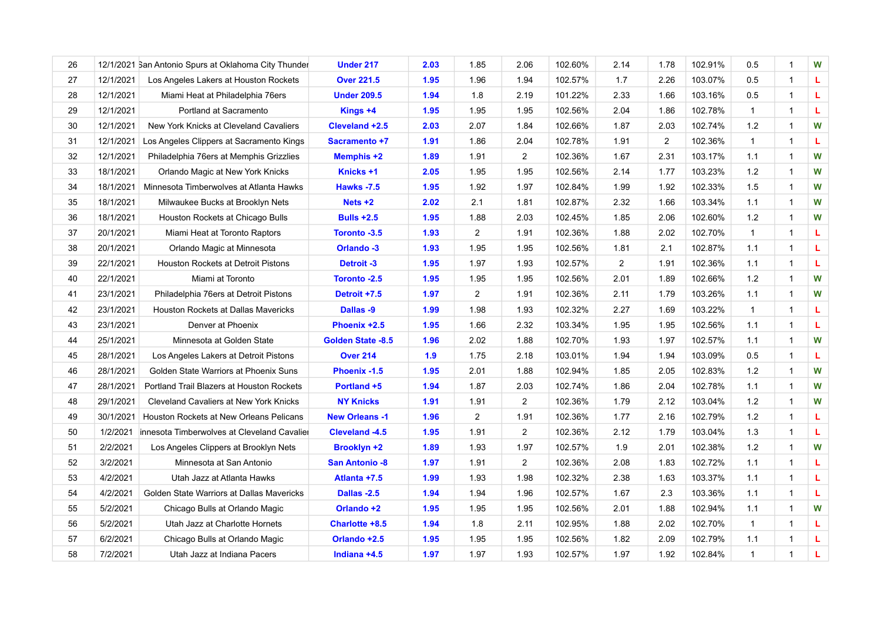| 26 |           | 12/1/2021 San Antonio Spurs at Oklahoma City Thunder | <b>Under 217</b>         | 2.03 | 1.85           | 2.06                    | 102.60% | 2.14           | 1.78           | 102.91% | 0.5          | 1            | W |
|----|-----------|------------------------------------------------------|--------------------------|------|----------------|-------------------------|---------|----------------|----------------|---------|--------------|--------------|---|
| 27 | 12/1/2021 | Los Angeles Lakers at Houston Rockets                | <b>Over 221.5</b>        | 1.95 | 1.96           | 1.94                    | 102.57% | 1.7            | 2.26           | 103.07% | 0.5          | 1            | L |
| 28 | 12/1/2021 | Miami Heat at Philadelphia 76ers                     | <b>Under 209.5</b>       | 1.94 | 1.8            | 2.19                    | 101.22% | 2.33           | 1.66           | 103.16% | 0.5          | 1            | L |
| 29 | 12/1/2021 | Portland at Sacramento                               | Kings +4                 | 1.95 | 1.95           | 1.95                    | 102.56% | 2.04           | 1.86           | 102.78% | $\mathbf{1}$ | 1            | L |
| 30 | 12/1/2021 | New York Knicks at Cleveland Cavaliers               | Cleveland +2.5           | 2.03 | 2.07           | 1.84                    | 102.66% | 1.87           | 2.03           | 102.74% | 1.2          | 1            | W |
| 31 | 12/1/2021 | Los Angeles Clippers at Sacramento Kings             | Sacramento +7            | 1.91 | 1.86           | 2.04                    | 102.78% | 1.91           | $\overline{2}$ | 102.36% | $\mathbf{1}$ | $\mathbf{1}$ | Ц |
| 32 | 12/1/2021 | Philadelphia 76ers at Memphis Grizzlies              | <b>Memphis +2</b>        | 1.89 | 1.91           | $\overline{\mathbf{c}}$ | 102.36% | 1.67           | 2.31           | 103.17% | 1.1          | 1            | W |
| 33 | 18/1/2021 | Orlando Magic at New York Knicks                     | Knicks +1                | 2.05 | 1.95           | 1.95                    | 102.56% | 2.14           | 1.77           | 103.23% | 1.2          | $\mathbf{1}$ | W |
| 34 | 18/1/2021 | Minnesota Timberwolves at Atlanta Hawks              | <b>Hawks -7.5</b>        | 1.95 | 1.92           | 1.97                    | 102.84% | 1.99           | 1.92           | 102.33% | 1.5          | $\mathbf{1}$ | W |
| 35 | 18/1/2021 | Milwaukee Bucks at Brooklyn Nets                     | $Nets +2$                | 2.02 | 2.1            | 1.81                    | 102.87% | 2.32           | 1.66           | 103.34% | 1.1          | 1            | W |
| 36 | 18/1/2021 | Houston Rockets at Chicago Bulls                     | <b>Bulls +2.5</b>        | 1.95 | 1.88           | 2.03                    | 102.45% | 1.85           | 2.06           | 102.60% | 1.2          | 1            | W |
| 37 | 20/1/2021 | Miami Heat at Toronto Raptors                        | Toronto -3.5             | 1.93 | $\overline{2}$ | 1.91                    | 102.36% | 1.88           | 2.02           | 102.70% | $\mathbf{1}$ | 1            | L |
| 38 | 20/1/2021 | Orlando Magic at Minnesota                           | Orlando -3               | 1.93 | 1.95           | 1.95                    | 102.56% | 1.81           | 2.1            | 102.87% | 1.1          | 1            | Ц |
| 39 | 22/1/2021 | Houston Rockets at Detroit Pistons                   | <b>Detroit-3</b>         | 1.95 | 1.97           | 1.93                    | 102.57% | $\overline{a}$ | 1.91           | 102.36% | 1.1          | 1            | L |
| 40 | 22/1/2021 | Miami at Toronto                                     | Toronto -2.5             | 1.95 | 1.95           | 1.95                    | 102.56% | 2.01           | 1.89           | 102.66% | 1.2          | $\mathbf 1$  | W |
| 41 | 23/1/2021 | Philadelphia 76ers at Detroit Pistons                | Detroit +7.5             | 1.97 | $\overline{2}$ | 1.91                    | 102.36% | 2.11           | 1.79           | 103.26% | 1.1          | 1            | W |
| 42 | 23/1/2021 | Houston Rockets at Dallas Mavericks                  | Dallas -9                | 1.99 | 1.98           | 1.93                    | 102.32% | 2.27           | 1.69           | 103.22% | $\mathbf{1}$ | 1            | L |
| 43 | 23/1/2021 | Denver at Phoenix                                    | Phoenix +2.5             | 1.95 | 1.66           | 2.32                    | 103.34% | 1.95           | 1.95           | 102.56% | 1.1          | 1            | L |
| 44 | 25/1/2021 | Minnesota at Golden State                            | <b>Golden State -8.5</b> | 1.96 | 2.02           | 1.88                    | 102.70% | 1.93           | 1.97           | 102.57% | 1.1          | $\mathbf 1$  | W |
| 45 | 28/1/2021 | Los Angeles Lakers at Detroit Pistons                | <b>Over 214</b>          | 1.9  | 1.75           | 2.18                    | 103.01% | 1.94           | 1.94           | 103.09% | 0.5          | $\mathbf{1}$ | L |
| 46 | 28/1/2021 | Golden State Warriors at Phoenix Suns                | Phoenix -1.5             | 1.95 | 2.01           | 1.88                    | 102.94% | 1.85           | 2.05           | 102.83% | 1.2          | $\mathbf 1$  | W |
| 47 | 28/1/2021 | Portland Trail Blazers at Houston Rockets            | Portland +5              | 1.94 | 1.87           | 2.03                    | 102.74% | 1.86           | 2.04           | 102.78% | 1.1          | 1            | W |
| 48 | 29/1/2021 | <b>Cleveland Cavaliers at New York Knicks</b>        | <b>NY Knicks</b>         | 1.91 | 1.91           | $\overline{2}$          | 102.36% | 1.79           | 2.12           | 103.04% | $1.2$        | 1            | W |
| 49 | 30/1/2021 | Houston Rockets at New Orleans Pelicans              | <b>New Orleans -1</b>    | 1.96 | $\overline{2}$ | 1.91                    | 102.36% | 1.77           | 2.16           | 102.79% | 1.2          | 1            | L |
| 50 | 1/2/2021  | innesota Timberwolves at Cleveland Cavalier          | Cleveland -4.5           | 1.95 | 1.91           | $\overline{2}$          | 102.36% | 2.12           | 1.79           | 103.04% | 1.3          | $\mathbf 1$  | L |
| 51 | 2/2/2021  | Los Angeles Clippers at Brooklyn Nets                | <b>Brooklyn +2</b>       | 1.89 | 1.93           | 1.97                    | 102.57% | 1.9            | 2.01           | 102.38% | $1.2$        | $\mathbf 1$  | W |
| 52 | 3/2/2021  | Minnesota at San Antonio                             | <b>San Antonio -8</b>    | 1.97 | 1.91           | 2                       | 102.36% | 2.08           | 1.83           | 102.72% | 1.1          | $\mathbf{1}$ | L |
| 53 | 4/2/2021  | Utah Jazz at Atlanta Hawks                           | Atlanta +7.5             | 1.99 | 1.93           | 1.98                    | 102.32% | 2.38           | 1.63           | 103.37% | 1.1          | $\mathbf{1}$ | L |
| 54 | 4/2/2021  | Golden State Warriors at Dallas Mavericks            | Dallas -2.5              | 1.94 | 1.94           | 1.96                    | 102.57% | 1.67           | 2.3            | 103.36% | 1.1          | $\mathbf 1$  | г |
| 55 | 5/2/2021  | Chicago Bulls at Orlando Magic                       | Orlando +2               | 1.95 | 1.95           | 1.95                    | 102.56% | 2.01           | 1.88           | 102.94% | 1.1          | 1            | W |
| 56 | 5/2/2021  | Utah Jazz at Charlotte Hornets                       | Charlotte +8.5           | 1.94 | 1.8            | 2.11                    | 102.95% | 1.88           | 2.02           | 102.70% | $\mathbf{1}$ | $\mathbf{1}$ | L |
| 57 | 6/2/2021  | Chicago Bulls at Orlando Magic                       | Orlando +2.5             | 1.95 | 1.95           | 1.95                    | 102.56% | 1.82           | 2.09           | 102.79% | 1.1          | 1            | г |
| 58 | 7/2/2021  | Utah Jazz at Indiana Pacers                          | Indiana +4.5             | 1.97 | 1.97           | 1.93                    | 102.57% | 1.97           | 1.92           | 102.84% | $\mathbf{1}$ | 1            | L |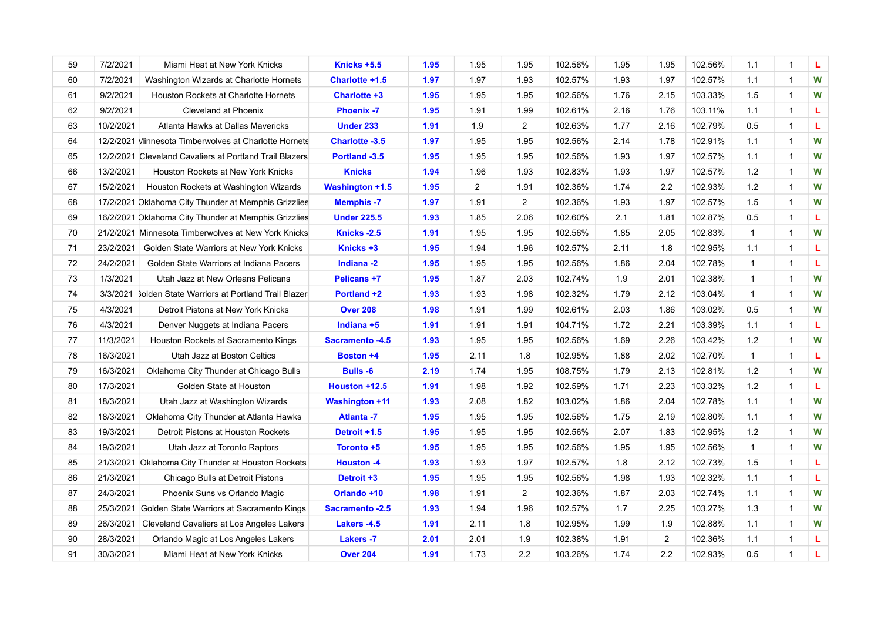| 59 | 7/2/2021  | Miami Heat at New York Knicks                           | Knicks +5.5            | 1.95 | 1.95           | 1.95           | 102.56% | 1.95 | 1.95           | 102.56% | 1.1          | 1            | L |
|----|-----------|---------------------------------------------------------|------------------------|------|----------------|----------------|---------|------|----------------|---------|--------------|--------------|---|
| 60 | 7/2/2021  | Washington Wizards at Charlotte Hornets                 | Charlotte +1.5         | 1.97 | 1.97           | 1.93           | 102.57% | 1.93 | 1.97           | 102.57% | 1.1          | $\mathbf{1}$ | W |
| 61 | 9/2/2021  | Houston Rockets at Charlotte Hornets                    | Charlotte +3           | 1.95 | 1.95           | 1.95           | 102.56% | 1.76 | 2.15           | 103.33% | 1.5          | 1            | W |
| 62 | 9/2/2021  | Cleveland at Phoenix                                    | <b>Phoenix -7</b>      | 1.95 | 1.91           | 1.99           | 102.61% | 2.16 | 1.76           | 103.11% | 1.1          | 1            | L |
| 63 | 10/2/2021 | Atlanta Hawks at Dallas Mavericks                       | <b>Under 233</b>       | 1.91 | 1.9            | $\overline{2}$ | 102.63% | 1.77 | 2.16           | 102.79% | 0.5          | $\mathbf{1}$ | L |
| 64 |           | 12/2/2021 Minnesota Timberwolves at Charlotte Hornets   | <b>Charlotte -3.5</b>  | 1.97 | 1.95           | 1.95           | 102.56% | 2.14 | 1.78           | 102.91% | 1.1          | 1            | W |
| 65 |           | 12/2/2021 Cleveland Cavaliers at Portland Trail Blazers | Portland -3.5          | 1.95 | 1.95           | 1.95           | 102.56% | 1.93 | 1.97           | 102.57% | 1.1          | 1            | W |
| 66 | 13/2/2021 | Houston Rockets at New York Knicks                      | <b>Knicks</b>          | 1.94 | 1.96           | 1.93           | 102.83% | 1.93 | 1.97           | 102.57% | $1.2$        | $\mathbf{1}$ | W |
| 67 | 15/2/2021 | Houston Rockets at Washington Wizards                   | <b>Washington +1.5</b> | 1.95 | $\overline{2}$ | 1.91           | 102.36% | 1.74 | 2.2            | 102.93% | 1.2          | $\mathbf{1}$ | W |
| 68 |           | 17/2/2021 Dklahoma City Thunder at Memphis Grizzlies    | <b>Memphis -7</b>      | 1.97 | 1.91           | $\overline{2}$ | 102.36% | 1.93 | 1.97           | 102.57% | 1.5          | $\mathbf 1$  | W |
| 69 |           | 16/2/2021 Oklahoma City Thunder at Memphis Grizzlies    | <b>Under 225.5</b>     | 1.93 | 1.85           | 2.06           | 102.60% | 2.1  | 1.81           | 102.87% | 0.5          | 1            | Ц |
| 70 |           | 21/2/2021 Minnesota Timberwolves at New York Knicks     | Knicks - 2.5           | 1.91 | 1.95           | 1.95           | 102.56% | 1.85 | 2.05           | 102.83% | $\mathbf{1}$ | $\mathbf 1$  | W |
| 71 | 23/2/2021 | Golden State Warriors at New York Knicks                | Knicks +3              | 1.95 | 1.94           | 1.96           | 102.57% | 2.11 | 1.8            | 102.95% | 1.1          | $\mathbf{1}$ | L |
| 72 | 24/2/2021 | Golden State Warriors at Indiana Pacers                 | Indiana -2             | 1.95 | 1.95           | 1.95           | 102.56% | 1.86 | 2.04           | 102.78% | $\mathbf{1}$ | 1            | L |
| 73 | 1/3/2021  | Utah Jazz at New Orleans Pelicans                       | Pelicans +7            | 1.95 | 1.87           | 2.03           | 102.74% | 1.9  | 2.01           | 102.38% | $\mathbf{1}$ | 1            | W |
| 74 |           | 3/3/2021 Jolden State Warriors at Portland Trail Blazer | Portland +2            | 1.93 | 1.93           | 1.98           | 102.32% | 1.79 | 2.12           | 103.04% | $\mathbf{1}$ | 1            | W |
| 75 | 4/3/2021  | Detroit Pistons at New York Knicks                      | <b>Over 208</b>        | 1.98 | 1.91           | 1.99           | 102.61% | 2.03 | 1.86           | 103.02% | 0.5          | $\mathbf 1$  | W |
| 76 | 4/3/2021  | Denver Nuggets at Indiana Pacers                        | Indiana +5             | 1.91 | 1.91           | 1.91           | 104.71% | 1.72 | 2.21           | 103.39% | 1.1          | 1            | L |
| 77 | 11/3/2021 | Houston Rockets at Sacramento Kings                     | <b>Sacramento -4.5</b> | 1.93 | 1.95           | 1.95           | 102.56% | 1.69 | 2.26           | 103.42% | 1.2          | 1            | W |
| 78 | 16/3/2021 | Utah Jazz at Boston Celtics                             | <b>Boston +4</b>       | 1.95 | 2.11           | 1.8            | 102.95% | 1.88 | 2.02           | 102.70% | $\mathbf{1}$ | 1            | г |
| 79 | 16/3/2021 | Oklahoma City Thunder at Chicago Bulls                  | <b>Bulls -6</b>        | 2.19 | 1.74           | 1.95           | 108.75% | 1.79 | 2.13           | 102.81% | $1.2$        | $\mathbf 1$  | W |
| 80 | 17/3/2021 | Golden State at Houston                                 | Houston +12.5          | 1.91 | 1.98           | 1.92           | 102.59% | 1.71 | 2.23           | 103.32% | $1.2$        | 1            | L |
| 81 | 18/3/2021 | Utah Jazz at Washington Wizards                         | <b>Washington +11</b>  | 1.93 | 2.08           | 1.82           | 103.02% | 1.86 | 2.04           | 102.78% | 1.1          | 1            | W |
| 82 | 18/3/2021 | Oklahoma City Thunder at Atlanta Hawks                  | <b>Atlanta -7</b>      | 1.95 | 1.95           | 1.95           | 102.56% | 1.75 | 2.19           | 102.80% | 1.1          | 1            | W |
| 83 | 19/3/2021 | Detroit Pistons at Houston Rockets                      | Detroit +1.5           | 1.95 | 1.95           | 1.95           | 102.56% | 2.07 | 1.83           | 102.95% | $1.2$        | $\mathbf 1$  | W |
| 84 | 19/3/2021 | Utah Jazz at Toronto Raptors                            | Toronto +5             | 1.95 | 1.95           | 1.95           | 102.56% | 1.95 | 1.95           | 102.56% | $\mathbf{1}$ | 1            | W |
| 85 |           | 21/3/2021 Oklahoma City Thunder at Houston Rockets      | <b>Houston -4</b>      | 1.93 | 1.93           | 1.97           | 102.57% | 1.8  | 2.12           | 102.73% | 1.5          | 1            | L |
| 86 | 21/3/2021 | Chicago Bulls at Detroit Pistons                        | Detroit +3             | 1.95 | 1.95           | 1.95           | 102.56% | 1.98 | 1.93           | 102.32% | 1.1          | $\mathbf{1}$ | L |
| 87 | 24/3/2021 | Phoenix Suns vs Orlando Magic                           | Orlando +10            | 1.98 | 1.91           | $\overline{c}$ | 102.36% | 1.87 | 2.03           | 102.74% | 1.1          | 1            | W |
| 88 | 25/3/2021 | Golden State Warriors at Sacramento Kings               | <b>Sacramento -2.5</b> | 1.93 | 1.94           | 1.96           | 102.57% | 1.7  | 2.25           | 103.27% | 1.3          | $\mathbf{1}$ | W |
| 89 | 26/3/2021 | Cleveland Cavaliers at Los Angeles Lakers               | Lakers -4.5            | 1.91 | 2.11           | 1.8            | 102.95% | 1.99 | 1.9            | 102.88% | 1.1          | $\mathbf{1}$ | W |
| 90 | 28/3/2021 | Orlando Magic at Los Angeles Lakers                     | <b>Lakers -7</b>       | 2.01 | 2.01           | 1.9            | 102.38% | 1.91 | $\overline{2}$ | 102.36% | 1.1          | 1            | г |
| 91 | 30/3/2021 | Miami Heat at New York Knicks                           | <b>Over 204</b>        | 1.91 | 1.73           | 2.2            | 103.26% | 1.74 | $2.2\,$        | 102.93% | 0.5          | 1            | г |